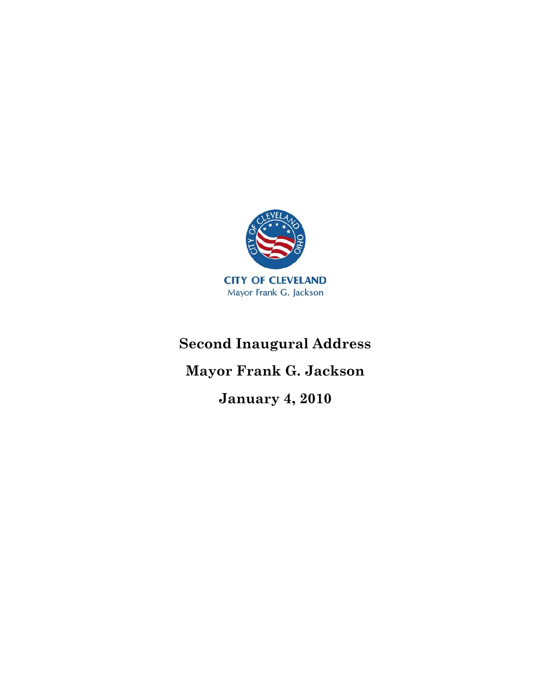

## **Second Inaugural Address**

## **Mayor Frank G. Jackson**

**January 4, 2010**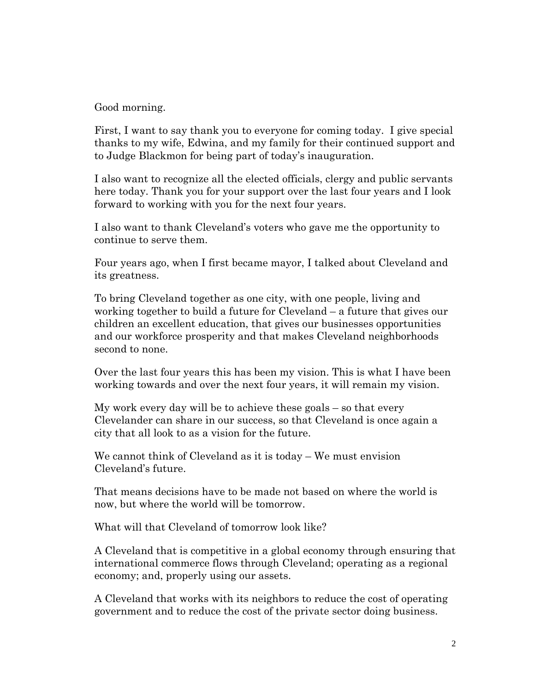Good morning.

First, I want to say thank you to everyone for coming today. I give special thanks to my wife, Edwina, and my family for their continued support and to Judge Blackmon for being part of today's inauguration.

I also want to recognize all the elected officials, clergy and public servants here today. Thank you for your support over the last four years and I look forward to working with you for the next four years.

I also want to thank Cleveland's voters who gave me the opportunity to continue to serve them.

Four years ago, when I first became mayor, I talked about Cleveland and its greatness.

To bring Cleveland together as one city, with one people, living and working together to build a future for Cleveland – a future that gives our children an excellent education, that gives our businesses opportunities and our workforce prosperity and that makes Cleveland neighborhoods second to none.

Over the last four years this has been my vision. This is what I have been working towards and over the next four years, it will remain my vision.

My work every day will be to achieve these goals – so that every Clevelander can share in our success, so that Cleveland is once again a city that all look to as a vision for the future.

We cannot think of Cleveland as it is today – We must envision Cleveland's future.

That means decisions have to be made not based on where the world is now, but where the world will be tomorrow.

What will that Cleveland of tomorrow look like?

A Cleveland that is competitive in a global economy through ensuring that international commerce flows through Cleveland; operating as a regional economy; and, properly using our assets.

A Cleveland that works with its neighbors to reduce the cost of operating government and to reduce the cost of the private sector doing business.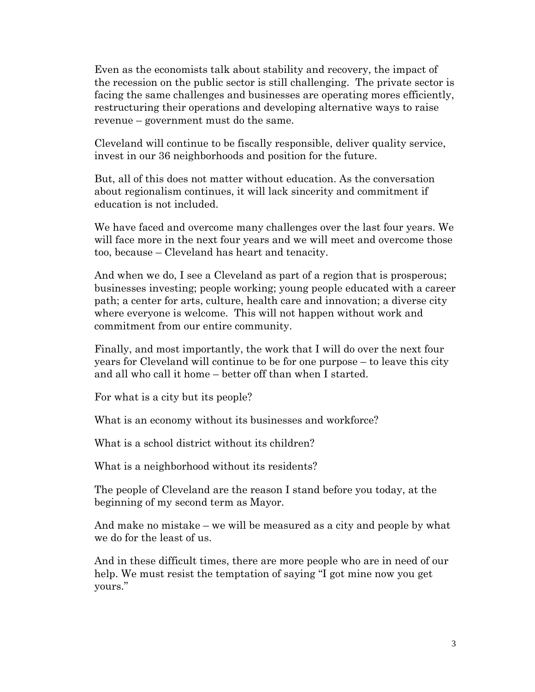Even as the economists talk about stability and recovery, the impact of the recession on the public sector is still challenging. The private sector is facing the same challenges and businesses are operating mores efficiently, restructuring their operations and developing alternative ways to raise revenue – government must do the same.

Cleveland will continue to be fiscally responsible, deliver quality service, invest in our 36 neighborhoods and position for the future.

But, all of this does not matter without education. As the conversation about regionalism continues, it will lack sincerity and commitment if education is not included.

We have faced and overcome many challenges over the last four years. We will face more in the next four years and we will meet and overcome those too, because – Cleveland has heart and tenacity.

And when we do, I see a Cleveland as part of a region that is prosperous; businesses investing; people working; young people educated with a career path; a center for arts, culture, health care and innovation; a diverse city where everyone is welcome. This will not happen without work and commitment from our entire community.

Finally, and most importantly, the work that I will do over the next four years for Cleveland will continue to be for one purpose – to leave this city and all who call it home – better off than when I started.

For what is a city but its people?

What is an economy without its businesses and workforce?

What is a school district without its children?

What is a neighborhood without its residents?

The people of Cleveland are the reason I stand before you today, at the beginning of my second term as Mayor.

And make no mistake – we will be measured as a city and people by what we do for the least of us.

And in these difficult times, there are more people who are in need of our help. We must resist the temptation of saying "I got mine now you get yours."